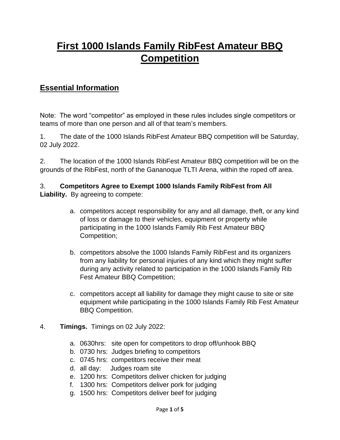## **First 1000 Islands Family RibFest Amateur BBQ Competition**

## **Essential Information**

Note: The word "competitor" as employed in these rules includes single competitors or teams of more than one person and all of that team's members.

1. The date of the 1000 Islands RibFest Amateur BBQ competition will be Saturday, 02 July 2022.

2. The location of the 1000 Islands RibFest Amateur BBQ competition will be on the grounds of the RibFest, north of the Gananoque TLTI Arena, within the roped off area.

## 3. **Competitors Agree to Exempt 1000 Islands Family RibFest from All Liability.** By agreeing to compete:

- a. competitors accept responsibility for any and all damage, theft, or any kind of loss or damage to their vehicles, equipment or property while participating in the 1000 Islands Family Rib Fest Amateur BBQ Competition;
- b. competitors absolve the 1000 Islands Family RibFest and its organizers from any liability for personal injuries of any kind which they might suffer during any activity related to participation in the 1000 Islands Family Rib Fest Amateur BBQ Competition;
- c. competitors accept all liability for damage they might cause to site or site equipment while participating in the 1000 Islands Family Rib Fest Amateur BBQ Competition.
- 4. **Timings.** Timings on 02 July 2022:
	- a. 0630hrs: site open for competitors to drop off/unhook BBQ
	- b. 0730 hrs: Judges briefing to competitors
	- c. 0745 hrs: competitors receive their meat
	- d. all day: Judges roam site
	- e. 1200 hrs: Competitors deliver chicken for judging
	- f. 1300 hrs: Competitors deliver pork for judging
	- g. 1500 hrs: Competitors deliver beef for judging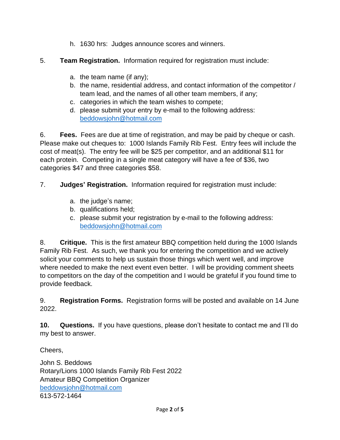- h. 1630 hrs: Judges announce scores and winners.
- 5. **Team Registration.** Information required for registration must include:
	- a. the team name (if any);
	- b. the name, residential address, and contact information of the competitor / team lead, and the names of all other team members, if any;
	- c. categories in which the team wishes to compete;
	- d. please submit your entry by e-mail to the following address: [beddowsjohn@hotmail.com](about:blank)

6. **Fees.** Fees are due at time of registration, and may be paid by cheque or cash. Please make out cheques to: 1000 Islands Family Rib Fest. Entry fees will include the cost of meat(s). The entry fee will be \$25 per competitor, and an additional \$11 for each protein. Competing in a single meat category will have a fee of \$36, two categories \$47 and three categories \$58.

7. **Judges' Registration.** Information required for registration must include:

- a. the judge's name;
- b. qualifications held;
- c. please submit your registration by e-mail to the following address: [beddowsjohn@hotmail.com](about:blank)

8. **Critique.** This is the first amateur BBQ competition held during the 1000 Islands Family Rib Fest. As such, we thank you for entering the competition and we actively solicit your comments to help us sustain those things which went well, and improve where needed to make the next event even better. I will be providing comment sheets to competitors on the day of the competition and I would be grateful if you found time to provide feedback.

9. **Registration Forms.** Registration forms will be posted and available on 14 June 2022.

**10. Questions.** If you have questions, please don't hesitate to contact me and I'll do my best to answer.

Cheers,

John S. Beddows Rotary/Lions 1000 Islands Family Rib Fest 2022 Amateur BBQ Competition Organizer [beddowsjohn@hotmail.com](about:blank) 613-572-1464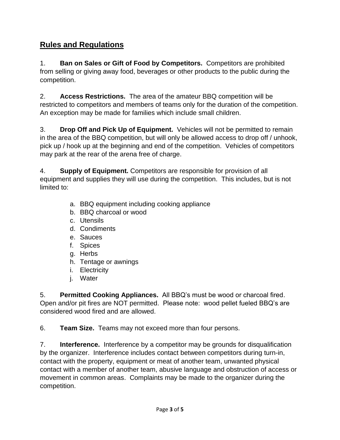## **Rules and Regulations**

1. **Ban on Sales or Gift of Food by Competitors.** Competitors are prohibited from selling or giving away food, beverages or other products to the public during the competition.

2. **Access Restrictions.** The area of the amateur BBQ competition will be restricted to competitors and members of teams only for the duration of the competition. An exception may be made for families which include small children.

3. **Drop Off and Pick Up of Equipment.** Vehicles will not be permitted to remain in the area of the BBQ competition, but will only be allowed access to drop off / unhook, pick up / hook up at the beginning and end of the competition. Vehicles of competitors may park at the rear of the arena free of charge.

4. **Supply of Equipment.** Competitors are responsible for provision of all equipment and supplies they will use during the competition. This includes, but is not limited to:

- a. BBQ equipment including cooking appliance
- b. BBQ charcoal or wood
- c. Utensils
- d. Condiments
- e. Sauces
- f. Spices
- g. Herbs
- h. Tentage or awnings
- i. Electricity
- j. Water

5. **Permitted Cooking Appliances.** All BBQ's must be wood or charcoal fired. Open and/or pit fires are NOT permitted. Please note: wood pellet fueled BBQ's are considered wood fired and are allowed.

6. **Team Size.** Teams may not exceed more than four persons.

7. **Interference.** Interference by a competitor may be grounds for disqualification by the organizer. Interference includes contact between competitors during turn-in, contact with the property, equipment or meat of another team, unwanted physical contact with a member of another team, abusive language and obstruction of access or movement in common areas. Complaints may be made to the organizer during the competition.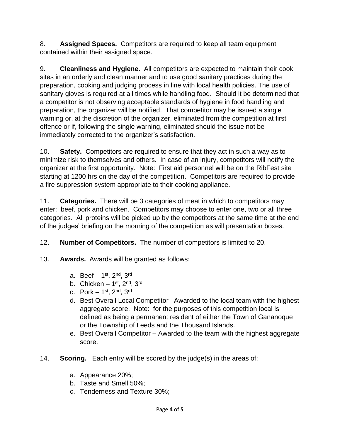8. **Assigned Spaces.** Competitors are required to keep all team equipment contained within their assigned space.

9. **Cleanliness and Hygiene.** All competitors are expected to maintain their cook sites in an orderly and clean manner and to use good sanitary practices during the preparation, cooking and judging process in line with local health policies. The use of sanitary gloves is required at all times while handling food. Should it be determined that a competitor is not observing acceptable standards of hygiene in food handling and preparation, the organizer will be notified. That competitor may be issued a single warning or, at the discretion of the organizer, eliminated from the competition at first offence or if, following the single warning, eliminated should the issue not be immediately corrected to the organizer's satisfaction.

10. **Safety.** Competitors are required to ensure that they act in such a way as to minimize risk to themselves and others. In case of an injury, competitors will notify the organizer at the first opportunity. Note: First aid personnel will be on the RibFest site starting at 1200 hrs on the day of the competition. Competitors are required to provide a fire suppression system appropriate to their cooking appliance.

11. **Categories.** There will be 3 categories of meat in which to competitors may enter: beef, pork and chicken. Competitors may choose to enter one, two or all three categories. All proteins will be picked up by the competitors at the same time at the end of the judges' briefing on the morning of the competition as will presentation boxes.

12. **Number of Competitors.** The number of competitors is limited to 20.

- 13. **Awards.** Awards will be granted as follows:
	- a. Beef 1st, 2<sup>nd</sup>, 3<sup>rd</sup>
	- b. Chicken 1st, 2<sup>nd</sup>, 3<sup>rd</sup>
	- c. Pork  $1<sup>st</sup>$ ,  $2<sup>nd</sup>$ ,  $3<sup>rd</sup>$
	- d. Best Overall Local Competitor –Awarded to the local team with the highest aggregate score. Note: for the purposes of this competition local is defined as being a permanent resident of either the Town of Gananoque or the Township of Leeds and the Thousand Islands.
	- e. Best Overall Competitor Awarded to the team with the highest aggregate score.
- 14. **Scoring.** Each entry will be scored by the judge(s) in the areas of:
	- a. Appearance 20%;
	- b. Taste and Smell 50%;
	- c. Tenderness and Texture 30%;